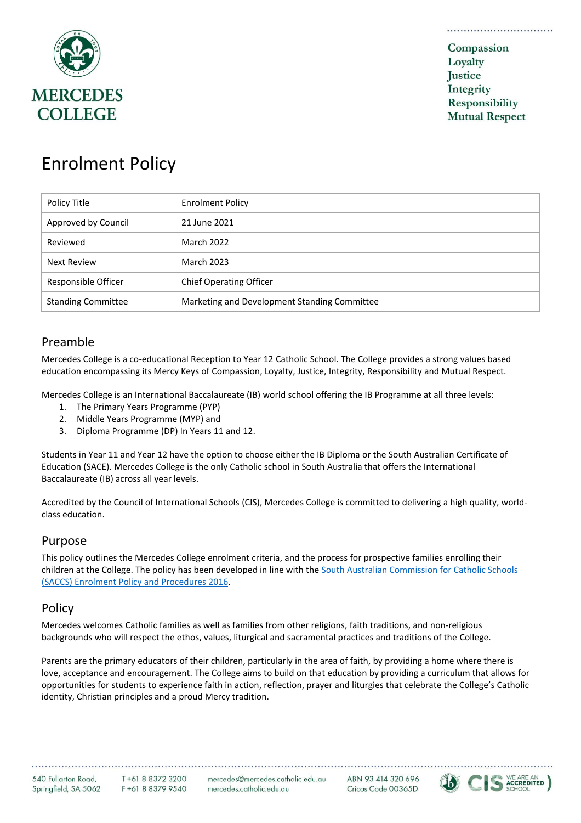

# Enrolment Policy

| Policy Title              | <b>Enrolment Policy</b>                      |
|---------------------------|----------------------------------------------|
| Approved by Council       | 21 June 2021                                 |
| Reviewed                  | <b>March 2022</b>                            |
| <b>Next Review</b>        | <b>March 2023</b>                            |
| Responsible Officer       | <b>Chief Operating Officer</b>               |
| <b>Standing Committee</b> | Marketing and Development Standing Committee |

## Preamble

Mercedes College is a co-educational Reception to Year 12 Catholic School. The College provides a strong values based education encompassing its Mercy Keys of Compassion, Loyalty, Justice, Integrity, Responsibility and Mutual Respect.

Mercedes College is an International Baccalaureate (IB) world school offering the IB Programme at all three levels:

- 1. The Primary Years Programme (PYP)
- 2. Middle Years Programme (MYP) and
- 3. Diploma Programme (DP) In Years 11 and 12.

Students in Year 11 and Year 12 have the option to choose either the IB Diploma or the South Australian Certificate of Education (SACE). Mercedes College is the only Catholic school in South Australia that offers the International Baccalaureate (IB) across all year levels.

Accredited by the Council of International Schools (CIS), Mercedes College is committed to delivering a high quality, worldclass education.

### Purpose

This policy outlines the Mercedes College enrolment criteria, and the process for prospective families enrolling their children at the College. The policy has been developed in line with the [South Australian Commission for Catholic Schools](https://cesacatholic.sharepoint.com/sites/CESAShare/Governance/Forms/AllItems.aspx?q=enrolment&FolderCTID=0x012000BCBFCD764164744096716D58C65B724C&id=%2Fsites%2FCESAShare%2FGovernance%2FPolicies%20and%20Procedures%2FEnrolment%20Policy%2Epdf&parent=%2Fsites%2FCESAShare%2FGovernance%2FPolicies%20and%20Procedures&parentview=7)  [\(SACCS\) Enrolment Policy and Procedures 2016.](https://cesacatholic.sharepoint.com/sites/CESAShare/Governance/Forms/AllItems.aspx?q=enrolment&FolderCTID=0x012000BCBFCD764164744096716D58C65B724C&id=%2Fsites%2FCESAShare%2FGovernance%2FPolicies%20and%20Procedures%2FEnrolment%20Policy%2Epdf&parent=%2Fsites%2FCESAShare%2FGovernance%2FPolicies%20and%20Procedures&parentview=7)

## Policy

Mercedes welcomes Catholic families as well as families from other religions, faith traditions, and non-religious backgrounds who will respect the ethos, values, liturgical and sacramental practices and traditions of the College.

Parents are the primary educators of their children, particularly in the area of faith, by providing a home where there is love, acceptance and encouragement. The College aims to build on that education by providing a curriculum that allows for opportunities for students to experience faith in action, reflection, prayer and liturgies that celebrate the College's Catholic identity, Christian principles and a proud Mercy tradition.